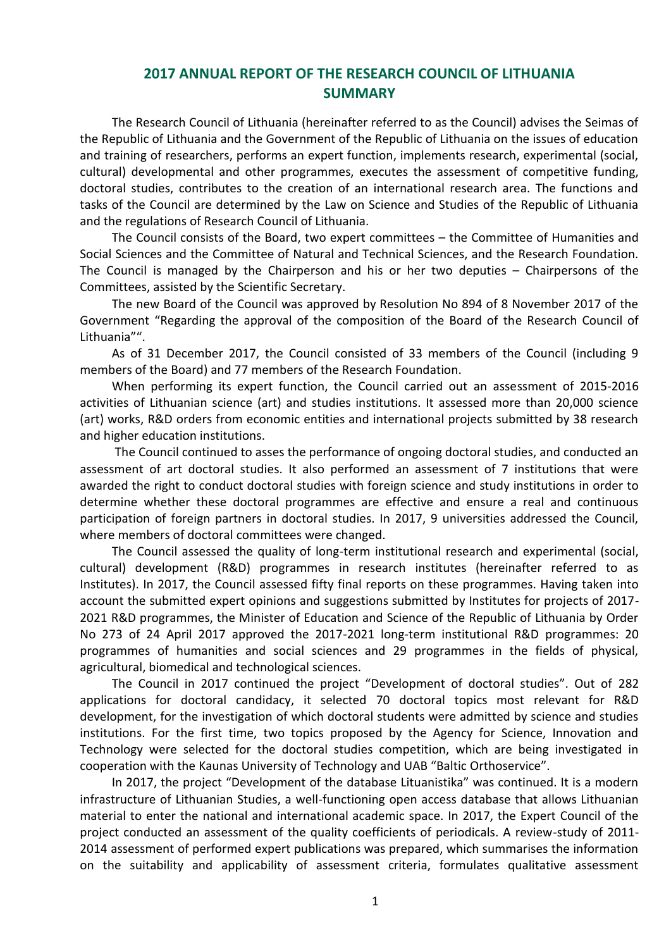## **2017 ANNUAL REPORT OF THE RESEARCH COUNCIL OF LITHUANIA SUMMARY**

The Research Council of Lithuania (hereinafter referred to as the Council) advises the Seimas of the Republic of Lithuania and the Government of the Republic of Lithuania on the issues of education and training of researchers, performs an expert function, implements research, experimental (social, cultural) developmental and other programmes, executes the assessment of competitive funding, doctoral studies, contributes to the creation of an international research area. The functions and tasks of the Council are determined by the Law on Science and Studies of the Republic of Lithuania and the regulations of Research Council of Lithuania.

The Council consists of the Board, two expert committees – the Committee of Humanities and Social Sciences and the Committee of Natural and Technical Sciences, and the Research Foundation. The Council is managed by the Chairperson and his or her two deputies – Chairpersons of the Committees, assisted by the Scientific Secretary.

The new Board of the Council was approved by Resolution No 894 of 8 November 2017 of the Government "Regarding the approval of the composition of the Board of the Research Council of Lithuania"".

As of 31 December 2017, the Council consisted of 33 members of the Council (including 9 members of the Board) and 77 members of the Research Foundation.

When performing its expert function, the Council carried out an assessment of 2015-2016 activities of Lithuanian science (art) and studies institutions. It assessed more than 20,000 science (art) works, R&D orders from economic entities and international projects submitted by 38 research and higher education institutions.

The Council continued to asses the performance of ongoing doctoral studies, and conducted an assessment of art doctoral studies. It also performed an assessment of 7 institutions that were awarded the right to conduct doctoral studies with foreign science and study institutions in order to determine whether these doctoral programmes are effective and ensure a real and continuous participation of foreign partners in doctoral studies. In 2017, 9 universities addressed the Council, where members of doctoral committees were changed.

The Council assessed the quality of long-term institutional research and experimental (social, cultural) development (R&D) programmes in research institutes (hereinafter referred to as Institutes). In 2017, the Council assessed fifty final reports on these programmes. Having taken into account the submitted expert opinions and suggestions submitted by Institutes for projects of 2017- 2021 R&D programmes, the Minister of Education and Science of the Republic of Lithuania by Order No 273 of 24 April 2017 approved the 2017-2021 long-term institutional R&D programmes: 20 programmes of humanities and social sciences and 29 programmes in the fields of physical, agricultural, biomedical and technological sciences.

The Council in 2017 continued the project "Development of doctoral studies". Out of 282 applications for doctoral candidacy, it selected 70 doctoral topics most relevant for R&D development, for the investigation of which doctoral students were admitted by science and studies institutions. For the first time, two topics proposed by the Agency for Science, Innovation and Technology were selected for the doctoral studies competition, which are being investigated in cooperation with the Kaunas University of Technology and UAB "Baltic Orthoservice".

In 2017, the project "Development of the database Lituanistika" was continued. It is a modern infrastructure of Lithuanian Studies, a well-functioning open access database that allows Lithuanian material to enter the national and international academic space. In 2017, the Expert Council of the project conducted an assessment of the quality coefficients of periodicals. A review-study of 2011- 2014 assessment of performed expert publications was prepared, which summarises the information on the suitability and applicability of assessment criteria, formulates qualitative assessment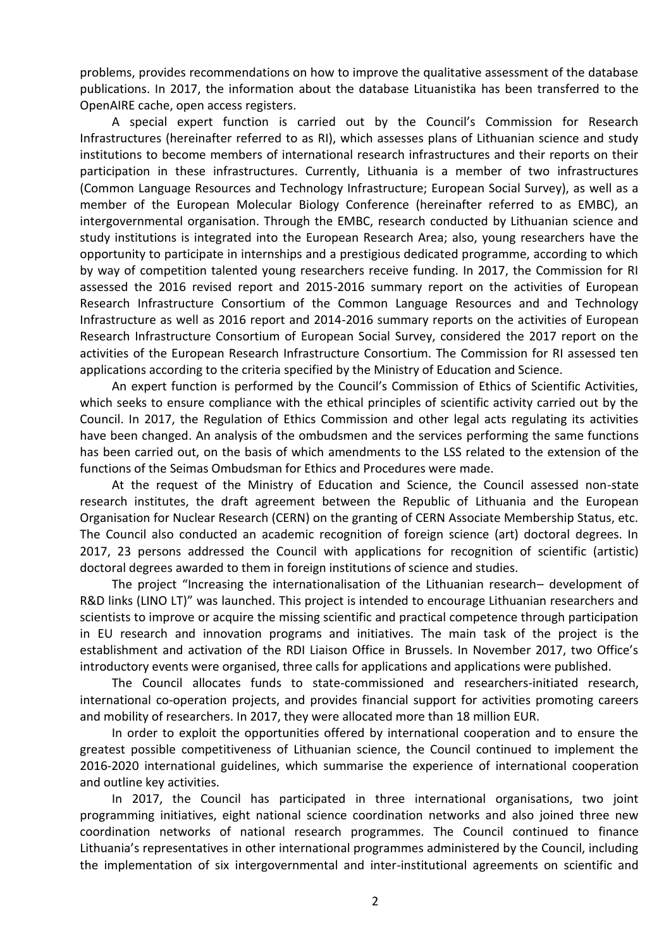problems, provides recommendations on how to improve the qualitative assessment of the database publications. In 2017, the information about the database Lituanistika has been transferred to the OpenAIRE cache, open access registers.

A special expert function is carried out by the Council's Commission for Research Infrastructures (hereinafter referred to as RI), which assesses plans of Lithuanian science and study institutions to become members of international research infrastructures and their reports on their participation in these infrastructures. Currently, Lithuania is a member of two infrastructures (Common Language Resources and Technology Infrastructure; European Social Survey), as well as a member of the European Molecular Biology Conference (hereinafter referred to as EMBC), an intergovernmental organisation. Through the EMBC, research conducted by Lithuanian science and study institutions is integrated into the European Research Area; also, young researchers have the opportunity to participate in internships and a prestigious dedicated programme, according to which by way of competition talented young researchers receive funding. In 2017, the Commission for RI assessed the 2016 revised report and 2015-2016 summary report on the activities of European Research Infrastructure Consortium of the Common Language Resources and and Technology Infrastructure as well as 2016 report and 2014-2016 summary reports on the activities of European Research Infrastructure Consortium of European Social Survey, considered the 2017 report on the activities of the European Research Infrastructure Consortium. The Commission for RI assessed ten applications according to the criteria specified by the Ministry of Education and Science.

An expert function is performed by the Council's Commission of Ethics of Scientific Activities, which seeks to ensure compliance with the ethical principles of scientific activity carried out by the Council. In 2017, the Regulation of Ethics Commission and other legal acts regulating its activities have been changed. An analysis of the ombudsmen and the services performing the same functions has been carried out, on the basis of which amendments to the LSS related to the extension of the functions of the Seimas Ombudsman for Ethics and Procedures were made.

At the request of the Ministry of Education and Science, the Council assessed non-state research institutes, the draft agreement between the Republic of Lithuania and the European Organisation for Nuclear Research (CERN) on the granting of CERN Associate Membership Status, etc. The Council also conducted an academic recognition of foreign science (art) doctoral degrees. In 2017, 23 persons addressed the Council with applications for recognition of scientific (artistic) doctoral degrees awarded to them in foreign institutions of science and studies.

The project "Increasing the internationalisation of the Lithuanian research– development of R&D links (LINO LT)" was launched. This project is intended to encourage Lithuanian researchers and scientists to improve or acquire the missing scientific and practical competence through participation in EU research and innovation programs and initiatives. The main task of the project is the establishment and activation of the RDI Liaison Office in Brussels. In November 2017, two Office's introductory events were organised, three calls for applications and applications were published.

The Council allocates funds to state-commissioned and researchers-initiated research, international co-operation projects, and provides financial support for activities promoting careers and mobility of researchers. In 2017, they were allocated more than 18 million EUR.

In order to exploit the opportunities offered by international cooperation and to ensure the greatest possible competitiveness of Lithuanian science, the Council continued to implement the 2016-2020 international guidelines, which summarise the experience of international cooperation and outline key activities.

In 2017, the Council has participated in three international organisations, two joint programming initiatives, eight national science coordination networks and also joined three new coordination networks of national research programmes. The Council continued to finance Lithuania's representatives in other international programmes administered by the Council, including the implementation of six intergovernmental and inter-institutional agreements on scientific and